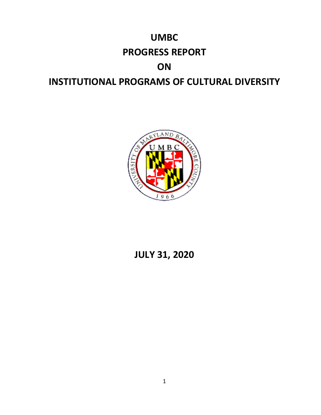# **UMBC PROGRESS REPORT ON INSTITUTIONAL PROGRAMS OF CULTURAL DIVERSITY**



## **JULY 31, 2020**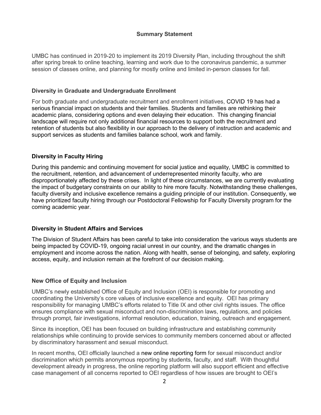#### **Summary Statement**

UMBC has continued in 2019-20 to implement its 2019 Diversity Plan, including throughout the shift after spring break to online teaching, learning and work due to the coronavirus pandemic, a summer session of classes online, and planning for mostly online and limited in-person classes for fall.

#### **Diversity in Graduate and Undergraduate Enrollment**

For both graduate and undergraduate recruitment and enrollment initiatives, COVID 19 has had a serious financial impact on students and their families. Students and families are rethinking their academic plans, considering options and even delaying their education. This changing financial landscape will require not only additional financial resources to support both the recruitment and retention of students but also flexibility in our approach to the delivery of instruction and academic and support services as students and families balance school, work and family.

#### **Diversity in Faculty Hiring**

During this pandemic and continuing movement for social justice and equality, UMBC is committed to the recruitment, retention, and advancement of underrepresented minority faculty, who are disproportionately affected by these crises. In light of these circumstances, we are currently evaluating the impact of budgetary constraints on our ability to hire more faculty. Notwithstanding these challenges, faculty diversity and inclusive excellence remains a guiding principle of our institution. Consequently, we have prioritized faculty hiring through our Postdoctoral Fellowship for Faculty Diversity program for the coming academic year.

#### **Diversity in Student Affairs and Services**

The Division of Student Affairs has been careful to take into consideration the various ways students are being impacted by COVID-19, ongoing racial unrest in our country, and the dramatic changes in employment and income across the nation. Along with health, sense of belonging, and safety, exploring access, equity, and inclusion remain at the forefront of our decision making.

#### **New Office of Equity and Inclusion**

UMBC's newly established Office of Equity and Inclusion (OEI) is responsible for promoting and coordinating the University's core values of inclusive excellence and equity. OEI has primary responsibility for managing UMBC's efforts related to Title IX and other civil rights issues. The office ensures compliance with sexual misconduct and non-discrimination laws, regulations, and policies through prompt, fair investigations, informal resolution, education, training, outreach and engagement.

Since its inception, OEI has been focused on building infrastructure and establishing community relationships while continuing to provide services to community members concerned about or affected by discriminatory harassment and sexual misconduct.

In recent months, OEI officially launched a [new online reporting form](https://umbc-advocate.symplicity.com/titleix_report/) for sexual misconduct and/or discrimination which permits anonymous reporting by students, faculty, and staff. With thoughtful development already in progress, the online reporting platform will also support efficient and effective case management of all concerns reported to OEI regardless of how issues are brought to OEI's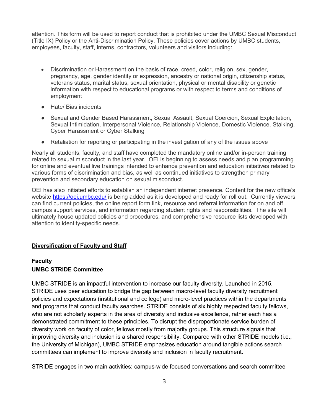attention. This form will be used to report conduct that is prohibited under the UMBC Sexual Misconduct (Title IX) Policy or the Anti-Discrimination Policy. These policies cover actions by UMBC students, employees, faculty, staff, interns, contractors, volunteers and visitors including:

- Discrimination or Harassment on the basis of race, creed, color, religion, sex, gender, pregnancy, age, gender identity or expression, ancestry or national origin, citizenship status, veterans status, marital status, sexual orientation, physical or mental disability or genetic information with respect to educational programs or with respect to terms and conditions of employment
- Hate/ Bias incidents
- Sexual and Gender Based Harassment, Sexual Assault, Sexual Coercion, Sexual Exploitation, Sexual Intimidation, Interpersonal Violence, Relationship Violence, Domestic Violence, Stalking, Cyber Harassment or Cyber Stalking
- Retaliation for reporting or participating in the investigation of any of the issues above

Nearly all students, faculty, and staff have completed the mandatory online and/or in-person training related to sexual misconduct in the last year. OEI is beginning to assess needs and plan programming for online and eventual live trainings intended to enhance prevention and education initiatives related to various forms of discrimination and bias, as well as continued initiatives to strengthen primary prevention and secondary education on sexual misconduct.

OEI has also initiated efforts to establish an independent internet presence. Content for the new office's website<https://oei.umbc.edu/> is being added as it is developed and ready for roll out. Currently viewers can find current policies, the online report form link, resource and referral information for on and off campus support services, and information regarding student rights and responsibilities. The site will ultimately house updated policies and procedures, and comprehensive resource lists developed with attention to identity-specific needs.

#### **Diversification of Faculty and Staff**

## **Faculty**

#### **UMBC STRIDE Committee**

UMBC STRIDE is an impactful intervention to increase our faculty diversity. Launched in 2015, STRIDE uses peer education to bridge the gap between macro-level faculty diversity recruitment policies and expectations (institutional and college) and micro-level practices within the departments and programs that conduct faculty searches. STRIDE consists of six highly respected faculty fellows, who are not scholarly experts in the area of diversity and inclusive excellence, rather each has a demonstrated commitment to these principles. To disrupt the disproportionate service burden of diversity work on faculty of color, fellows mostly from majority groups. This structure signals that improving diversity and inclusion is a shared responsibility. Compared with other STRIDE models (i.e., the University of Michigan), UMBC STRIDE emphasizes education around tangible actions search committees can implement to improve diversity and inclusion in faculty recruitment.

STRIDE engages in two main activities: campus-wide focused conversations and search committee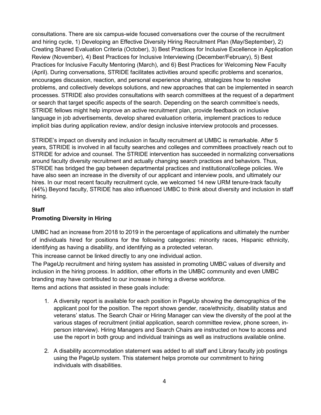consultations. There are six campus-wide focused conversations over the course of the recruitment and hiring cycle, 1) Developing an Effective Diversity Hiring Recruitment Plan (May/September), 2) Creating Shared Evaluation Criteria (October), 3) Best Practices for Inclusive Excellence in Application Review (November), 4) Best Practices for Inclusive Interviewing (December/February), 5) Best Practices for Inclusive Faculty Mentoring (March), and 6) Best Practices for Welcoming New Faculty (April). During conversations, STRIDE facilitates activities around specific problems and scenarios, encourages discussion, reaction, and personal experience sharing, strategizes how to resolve problems, and collectively develops solutions, and new approaches that can be implemented in search processes. STRIDE also provides consultations with search committees at the request of a department or search that target specific aspects of the search. Depending on the search committee's needs, STRIDE fellows might help improve an active recruitment plan, provide feedback on inclusive language in job advertisements, develop shared evaluation criteria, implement practices to reduce implicit bias during application review, and/or design inclusive interview protocols and processes.

STRIDE's impact on diversity and inclusion in faculty recruitment at UMBC is remarkable. After 5 years, STRIDE is involved in all faculty searches and colleges and committees proactively reach out to STRIDE for advice and counsel. The STRIDE intervention has succeeded in normalizing conversations around faculty diversity recruitment and actually changing search practices and behaviors. Thus, STRIDE has bridged the gap between departmental practices and institutional/college policies. We have also seen an increase in the diversity of our applicant and interview pools, and ultimately our hires. In our most recent faculty recruitment cycle, we welcomed 14 new URM tenure-track faculty (44%) Beyond faculty, STRIDE has also influenced UMBC to think about diversity and inclusion in staff hiring.

#### **Staff**

#### **Promoting Diversity in Hiring**

UMBC had an increase from 2018 to 2019 in the percentage of applications and ultimately the number of individuals hired for positions for the following categories: minority races, Hispanic ethnicity, identifying as having a disability, and identifying as a protected veteran.

This increase cannot be linked directly to any one individual action.

The PageUp recruitment and hiring system has assisted in promoting UMBC values of diversity and inclusion in the hiring process. In addition, other efforts in the UMBC community and even UMBC branding may have contributed to our increase in hiring a diverse workforce.

Items and actions that assisted in these goals include:

- 1. A diversity report is available for each position in PageUp showing the demographics of the applicant pool for the position. The report shows gender, race/ethnicity, disability status and veterans' status. The Search Chair or Hiring Manager can view the diversity of the pool at the various stages of recruitment (initial application, search committee review, phone screen, inperson interview). Hiring Managers and Search Chairs are instructed on how to access and use the report in both group and individual trainings as well as instructions available online.
- 2. A disability accommodation statement was added to all staff and Library faculty job postings using the PageUp system. This statement helps promote our commitment to hiring individuals with disabilities.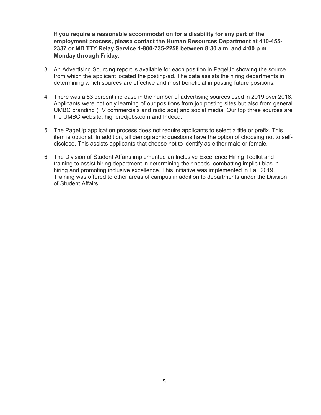**If you require a reasonable accommodation for a disability for any part of the employment process, please contact the Human Resources Department at 410-455- 2337 or MD TTY Relay Service 1-800-735-2258 between 8:30 a.m. and 4:00 p.m. Monday through Friday.**

- 3. An Advertising Sourcing report is available for each position in PageUp showing the source from which the applicant located the posting/ad. The data assists the hiring departments in determining which sources are effective and most beneficial in posting future positions.
- 4. There was a 53 percent increase in the number of advertising sources used in 2019 over 2018. Applicants were not only learning of our positions from job posting sites but also from general UMBC branding (TV commercials and radio ads) and social media. Our top three sources are the UMBC website, higheredjobs.com and Indeed.
- 5. The PageUp application process does not require applicants to select a title or prefix. This item is optional. In addition, all demographic questions have the option of choosing not to selfdisclose. This assists applicants that choose not to identify as either male or female.
- 6. The Division of Student Affairs implemented an Inclusive Excellence Hiring Toolkit and training to assist hiring department in determining their needs, combatting implicit bias in hiring and promoting inclusive excellence. This initiative was implemented in Fall 2019. Training was offered to other areas of campus in addition to departments under the Division of Student Affairs.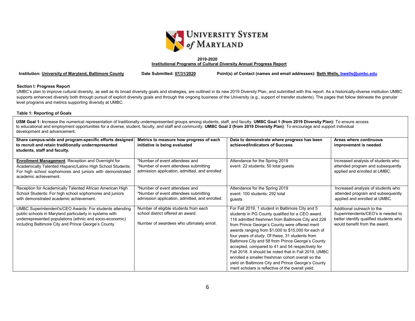

#### **2019-2020 Institutional Programs of Cultural Diversity Annual Progress Report**

**Institution: University of Maryland, Baltimore County Date Submitted: 07/31/2020 Point(s) of Contact (names and email addresses): Beth Wells, bwells@umbc.edu**

#### **Section I: Progress Report**

UMBC's plan to improve cultural diversity, as well as its broad diversity goals and strategies, are outlined in its new 2019 Diversity Plan, and submitted with this report. As a historically-diverse institution UMBC supports enhanced diversity both through pursuit of explicit diversity goals and through the ongoing business of the University (e.g., support of transfer students). The pages that follow delineate the granular level programs and metrics supporting diversity at UMBC.

#### **Table 1: Reporting of Goals**

**USM Goal 1: I**ncrease the numerical representation of traditionally underrepresented groups among students, staff, and faculty. **UMBC Goal 1 (from 2019 Diversity Plan):** To ensure access to educational and employment opportunities for a diverse, student, faculty, and staff and community. **UMBC Goal 2 (from 2019 Diversity Plan)**: To encourage and support individual development and advancement.

| Share campus-wide and program-specific efforts designed<br>to recruit and retain traditionally underrepresented<br>students, staff and faculty.                                                                                         | Metrics to measure how progress of each<br>initiative is being evaluated                                                 | Data to demonstrate where progress has been<br>achieved/Indicators of Success                                                                                                                                                                                                                                                                                                                                                                                                                                                                                                                                                                            | Areas where continuous<br>improvement is needed                                                                                             |
|-----------------------------------------------------------------------------------------------------------------------------------------------------------------------------------------------------------------------------------------|--------------------------------------------------------------------------------------------------------------------------|----------------------------------------------------------------------------------------------------------------------------------------------------------------------------------------------------------------------------------------------------------------------------------------------------------------------------------------------------------------------------------------------------------------------------------------------------------------------------------------------------------------------------------------------------------------------------------------------------------------------------------------------------------|---------------------------------------------------------------------------------------------------------------------------------------------|
| <b>Enrollment Management:</b> Reception and Overnight for<br>Academically Talented Hispanic/Latino High School Students:<br>For high school sophomores and juniors with demonstrated<br>academic achievement.                           | *Number of event attendees and<br>*Number of event attendees submitting<br>admission application, admitted, and enrolled | Attendance for the Spring 2019<br>event: 22 students; 50 total guests                                                                                                                                                                                                                                                                                                                                                                                                                                                                                                                                                                                    | Increased analysis of students who<br>attended program and subsequently<br>applied and enrolled at UMBC.                                    |
| Reception for Academically Talented African American High<br>School Students: For high school sophomores and juniors<br>with demonstrated academic achievement.                                                                         | *Number of event attendees and<br>*Number of event attendees submitting<br>admission application, admitted, and enrolled | Attendance for the Spring 2019<br>event: 100 students; 292 total<br>guests                                                                                                                                                                                                                                                                                                                                                                                                                                                                                                                                                                               | Increased analysis of students who<br>attended program and subsequently<br>applied and enrolled at UMBC.                                    |
| UMBC Superintendent's/CEO Awards: For students attending<br>public schools in Maryland particularly in systems with<br>underrepresented populations (ethnic and socio-economic)<br>including Baltimore City and Prince George's County. | Number of eligible students from each<br>school district offered an award.<br>Number of awardees who ultimately enroll.  | For Fall 2019, 1 student in Baltimore City and 5<br>students in PG County qualified for a CEO award.<br>116 admitted freshmen from Baltimore City and 228<br>from Prince George's County were offered merit<br>awards ranging from \$1,000 to \$15,000 for each of<br>four years of study. Of these, 31 students from<br>Baltimore City and 58 from Prince George's County<br>accepted, compared to 41 and 54 respectively for<br>Fall 2018. It should be noted that in Fall 2019, UMBC<br>enrolled a smaller freshman cohort overall so the<br>yield on Baltimore City and Prince George's County<br>merit scholars is reflective of the overall yield. | Additional outreach to the<br>Superintendents/CEO's is needed to<br>better identify qualified students who<br>would benefit from the award. |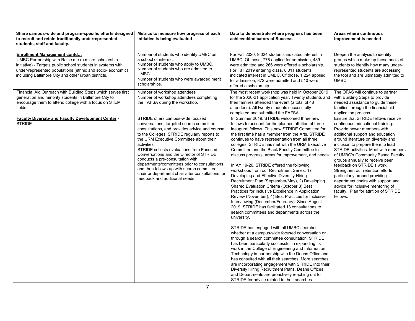| Share campus-wide and program-specific efforts designed<br>to recruit and retain traditionally underrepresented<br>students, staff and faculty.                                                                                                                               | Metrics to measure how progress of each<br>initiative is being evaluated                                                                                                                                                                                                                                                                                                                                                                                                                                                                                   | Data to demonstrate where progress has been<br>achieved/Indicators of Success                                                                                                                                                                                                                                                                                                                                                                                                                                                                                                                                                                                                                                                                                                                                                                                                                                                                                                                                                                                                                                                                                                                                                                                                                                                                                                                                                                                                                                                                  | Areas where continuous<br>improvement is needed                                                                                                                                                                                                                                                                                                                                                                                                                                                                                                                        |
|-------------------------------------------------------------------------------------------------------------------------------------------------------------------------------------------------------------------------------------------------------------------------------|------------------------------------------------------------------------------------------------------------------------------------------------------------------------------------------------------------------------------------------------------------------------------------------------------------------------------------------------------------------------------------------------------------------------------------------------------------------------------------------------------------------------------------------------------------|------------------------------------------------------------------------------------------------------------------------------------------------------------------------------------------------------------------------------------------------------------------------------------------------------------------------------------------------------------------------------------------------------------------------------------------------------------------------------------------------------------------------------------------------------------------------------------------------------------------------------------------------------------------------------------------------------------------------------------------------------------------------------------------------------------------------------------------------------------------------------------------------------------------------------------------------------------------------------------------------------------------------------------------------------------------------------------------------------------------------------------------------------------------------------------------------------------------------------------------------------------------------------------------------------------------------------------------------------------------------------------------------------------------------------------------------------------------------------------------------------------------------------------------------|------------------------------------------------------------------------------------------------------------------------------------------------------------------------------------------------------------------------------------------------------------------------------------------------------------------------------------------------------------------------------------------------------------------------------------------------------------------------------------------------------------------------------------------------------------------------|
| <b>Enrollment Management contd</b><br>UMBC Partnership with Raise.me (a micro-scholarship<br>initiative) - Targets public school students in systems with<br>under-represented populations (ethnic and socio-economic)<br>including Baltimore City and other urban districts. | Number of students who identify UMBC as<br>a school of interest.<br>Number of students who apply to UMBC,<br>Number of students who are admitted to<br><b>UMBC</b><br>Number of students who were awarded merit<br>scholarships.                                                                                                                                                                                                                                                                                                                           | For Fall 2020, 9,024 students indicated interest in<br>UMBC. Of those, 778 applied for admission, 489<br>were admitted and 266 were offered a scholarship.<br>For Fall 2019 entering class, 8,011 students<br>indicated interest in UMBC. Of those, 1,224 applied<br>for admission, 872 were admitted and 510 were<br>offered a scholarship.                                                                                                                                                                                                                                                                                                                                                                                                                                                                                                                                                                                                                                                                                                                                                                                                                                                                                                                                                                                                                                                                                                                                                                                                   | Deepen the analysis to identify<br>groups which make up these pools of<br>students to identify how many under-<br>represented students are accessing<br>the tool and are ultimately admitted to<br>UMBC.                                                                                                                                                                                                                                                                                                                                                               |
| Financial Aid Outreach with Building Steps which serves first<br>generation and minority students in Baltimore City to<br>encourage them to attend college with a focus on STEM<br>fields.                                                                                    | Number of workshop attendees<br>Number of workshop attendees completing<br>the FAFSA during the workshop.                                                                                                                                                                                                                                                                                                                                                                                                                                                  | The most recent workshop was held in October 2019<br>for the 2020-21 application year. Twenty students and<br>their families attended the event (a total of 48<br>attendees). All twenty students successfully<br>completed and submitted the FAFSA.                                                                                                                                                                                                                                                                                                                                                                                                                                                                                                                                                                                                                                                                                                                                                                                                                                                                                                                                                                                                                                                                                                                                                                                                                                                                                           | The OFAS will continue to partner<br>with Building Steps to provide<br>needed assistance to guide these<br>families through the financial aid<br>application process.                                                                                                                                                                                                                                                                                                                                                                                                  |
| <b>Faculty Diversity and Faculty Development Center -</b><br><b>STRIDE</b>                                                                                                                                                                                                    | STRIDE offers campus-wide focused<br>conversations, targeted search committee<br>consultations, and provides advice and counsel<br>to the Colleges. STRIDE regularly reports to<br>the URM Executive Committee about their<br>activities.<br>STRIDE collects evaluations from Focused<br>Conversations and the Director of STRIDE<br>conducts a pre-consultation with<br>departments/committees prior to consultations<br>and then follows up with search committee<br>chair or department chair after consultations for<br>feedback and additional needs. | In Summer 2019, STRIDE welcomed three new<br>fellows to account for the planned attrition of three<br>inaugural fellows. This new STRIDE Committee for<br>the first time has a member from the Arts. STRIDE<br>continues to have representation from all three<br>colleges. STRIDE has met with the URM Executive<br>Committee and the Black Faculty Committee to<br>discuss progress, areas for improvement, and needs.<br>In AY 19-20, STRIDE offered the following<br>workshops from our Recruitment Series: 1)<br>Developing and Effective Diversity Hiring<br>Recruitment Plan (September/May), 2) Developing<br>Shared Evaluation Criteria (October 3) Best<br>Practices for Inclusive Excellence in Application<br>Review (November), 4) Best Practices for Inclusive<br>Interviewing (December/February). Since August<br>2019, STRIDE has facilitated 13 consultations to<br>search committees and departments across the<br>university.<br>STRIDE has engaged with all UMBC searches<br>whether at a campus-wide focused conversation or<br>through a search committee consultation. STRIDE<br>has been particularly successful in expanding its<br>work in the College of Engineering and Information<br>Technology in partnership with the Deans Office and<br>has consulted with all their searches. More searches<br>are incorporating engagement with STRIDE into their<br>Diversity Hiring Recruitment Plans. Deans Offices<br>and Departments are proactively reaching out to<br>STRIDE for advice related to their searches. | Ensure that STRIDE fellows receive<br>continuous educational training.<br>Provide newer members with<br>additional support and education<br>around literature on diversity and<br>inclusion to prepare them to lead<br>STRIDE activities. Meet with members<br>of UMBC's Community Based Faculty<br>groups annually to receive peer<br>feedback on STRIDE's work.<br>Strengthen our retention efforts<br>particularly around providing<br>department chairs with support and<br>advice for inclusive mentoring of<br>faculty. Plan for attrition of STRIDE<br>fellows. |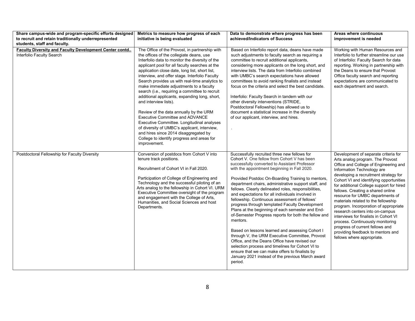| Share campus-wide and program-specific efforts designed                             | Metrics to measure how progress of each                                                                                                                                                                                                                                                                                                                                                                                                                                                                                                                                                                                                                                                                                                                                                                        | Data to demonstrate where progress has been                                                                                                                                                                                                                                                                                                                                                                                                                                                                                                                                                                                                                                                                                                                                                                                                                                                                                                                                  | Areas where continuous                                                                                                                                                                                                                                                                                                                                                                                                                                                                                                                                                                                                                                         |
|-------------------------------------------------------------------------------------|----------------------------------------------------------------------------------------------------------------------------------------------------------------------------------------------------------------------------------------------------------------------------------------------------------------------------------------------------------------------------------------------------------------------------------------------------------------------------------------------------------------------------------------------------------------------------------------------------------------------------------------------------------------------------------------------------------------------------------------------------------------------------------------------------------------|------------------------------------------------------------------------------------------------------------------------------------------------------------------------------------------------------------------------------------------------------------------------------------------------------------------------------------------------------------------------------------------------------------------------------------------------------------------------------------------------------------------------------------------------------------------------------------------------------------------------------------------------------------------------------------------------------------------------------------------------------------------------------------------------------------------------------------------------------------------------------------------------------------------------------------------------------------------------------|----------------------------------------------------------------------------------------------------------------------------------------------------------------------------------------------------------------------------------------------------------------------------------------------------------------------------------------------------------------------------------------------------------------------------------------------------------------------------------------------------------------------------------------------------------------------------------------------------------------------------------------------------------------|
| to recruit and retain traditionally underrepresented                                | initiative is being evaluated                                                                                                                                                                                                                                                                                                                                                                                                                                                                                                                                                                                                                                                                                                                                                                                  | achieved/Indicators of Success                                                                                                                                                                                                                                                                                                                                                                                                                                                                                                                                                                                                                                                                                                                                                                                                                                                                                                                                               | improvement is needed                                                                                                                                                                                                                                                                                                                                                                                                                                                                                                                                                                                                                                          |
| students, staff and faculty.                                                        |                                                                                                                                                                                                                                                                                                                                                                                                                                                                                                                                                                                                                                                                                                                                                                                                                |                                                                                                                                                                                                                                                                                                                                                                                                                                                                                                                                                                                                                                                                                                                                                                                                                                                                                                                                                                              |                                                                                                                                                                                                                                                                                                                                                                                                                                                                                                                                                                                                                                                                |
| Faculty Diversity and Faculty Development Center contd<br>Interfolio Faculty Search | The Office of the Provost, in partnership with<br>the offices of the collegiate deans, use<br>Interfolio data to monitor the diversity of the<br>applicant pool for all faculty searches at the<br>application close date, long list, short list,<br>interview, and offer stage. Interfolio Faculty<br>Search provides us with real-time analytics to<br>make immediate adjustments to a faculty<br>search (i.e., requiring a committee to recruit<br>additional applicants, expanding long, short,<br>and interview lists).<br>Review of the data annually by the URM<br>Executive Committee and ADVANCE<br>Executive Committee. Longitudinal analyses<br>of diversity of UMBC's applicant, interview,<br>and hires since 2014 disaggregated by<br>College to identify progress and areas for<br>improvement. | Based on Interfolio report data, deans have made<br>such adjustments to faculty search as requiring a<br>committee to recruit additional applicants,<br>considering more applicants on the long short, and<br>interview lists. The data from Interfolio combined<br>with UMBC's search expectations have allowed<br>committees to avoid ranking finalists and instead<br>focus on the criteria and select the best candidate.<br>Interfolio: Faculty Search in tandem with our<br>other diversity interventions (STRIDE,<br>Postdoctoral Fellowship) has allowed us to<br>document a statistical increase in the diversity<br>of our applicant, interview, and hires.<br>$\lambda$                                                                                                                                                                                                                                                                                           | Working with Human Resources and<br>Interfolio to further streamline our use<br>of Interfolio: Faculty Search for data<br>reporting. Working in partnership with<br>the Deans to ensure that Provost<br>Office faculty search and reporting<br>expectations are communicated to<br>each department and search.                                                                                                                                                                                                                                                                                                                                                 |
| Postdoctoral Fellowship for Faculty Diversity                                       | Conversion of postdocs from Cohort V into<br>tenure track positions.<br>Recruitment of Cohort VI in Fall 2020.<br>Participation of College of Engineering and<br>Technology and the successful piloting of an<br>Arts analog to the fellowship in Cohort VI. URM<br>Executive Committee oversight of the program<br>and engagement with the College of Arts,<br>Humanities, and Social Sciences and host<br>Departments.                                                                                                                                                                                                                                                                                                                                                                                       | Successfully recruited three new fellows for<br>Cohort V. One fellow from Cohort V has been<br>successfully converted to Assistant Professor<br>with the appointment beginning in Fall 2020.<br>Provided Postdoc On-Boarding Training to mentors,<br>department chairs, administrative support staff, and<br>fellows. Clearly delineated roles, responsibilities,<br>and expectations for all individuals involved in<br>fellowship. Continuous assessment of fellows'<br>progress through templated Faculty Development<br>Plans at the beginning of each semester and End-<br>of-Semester Progress reports for both the fellow and<br>mentors.<br>Based on lessons learned and assessing Cohort I<br>through V, the URM Executive Committee, Provost<br>Office, and the Deans Office have revised our<br>selection process and timelines for Cohort VI to<br>ensure that we can make offers to finalists by<br>January 2021 instead of the previous March award<br>period. | Development of separate criteria for<br>Arts analog program. The Provost<br>Office and College of Engineering and<br>Information Technology are<br>developing a recruitment strategy for<br>Cohort VI and identifying opportunities<br>for additional College support for hired<br>fellows. Creating a shared online<br>resource for UMBC departments of<br>materials related to the fellowship<br>program. Incorporation of appropriate<br>research centers into on-campus<br>interviews for finalists in Cohort VI<br>process. Continuously monitoring<br>progress of current fellows and<br>providing feedback to mentors and<br>fellows where appropriate. |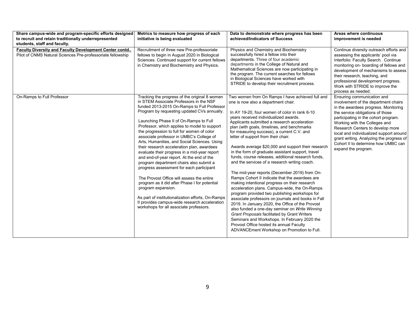| Share campus-wide and program-specific efforts designed                                                                      | Metrics to measure how progress of each<br>initiative is being evaluated                                                                                                                                                                                                                                                                                                                                                                                                                                                                                                                                                                                                                                                                                                                                                                                                                                                          | Data to demonstrate where progress has been<br>achieved/Indicators of Success                                                                                                                                                                                                                                                                                                                                                                                                                                                                                                                                                                                                                                                                                                                                                                                                                                                                                                                                                                                                                                                                                                                       | Areas where continuous                                                                                                                                                                                                                                                                                                                                                                                           |
|------------------------------------------------------------------------------------------------------------------------------|-----------------------------------------------------------------------------------------------------------------------------------------------------------------------------------------------------------------------------------------------------------------------------------------------------------------------------------------------------------------------------------------------------------------------------------------------------------------------------------------------------------------------------------------------------------------------------------------------------------------------------------------------------------------------------------------------------------------------------------------------------------------------------------------------------------------------------------------------------------------------------------------------------------------------------------|-----------------------------------------------------------------------------------------------------------------------------------------------------------------------------------------------------------------------------------------------------------------------------------------------------------------------------------------------------------------------------------------------------------------------------------------------------------------------------------------------------------------------------------------------------------------------------------------------------------------------------------------------------------------------------------------------------------------------------------------------------------------------------------------------------------------------------------------------------------------------------------------------------------------------------------------------------------------------------------------------------------------------------------------------------------------------------------------------------------------------------------------------------------------------------------------------------|------------------------------------------------------------------------------------------------------------------------------------------------------------------------------------------------------------------------------------------------------------------------------------------------------------------------------------------------------------------------------------------------------------------|
| to recruit and retain traditionally underrepresented<br>students, staff and faculty.                                         |                                                                                                                                                                                                                                                                                                                                                                                                                                                                                                                                                                                                                                                                                                                                                                                                                                                                                                                                   |                                                                                                                                                                                                                                                                                                                                                                                                                                                                                                                                                                                                                                                                                                                                                                                                                                                                                                                                                                                                                                                                                                                                                                                                     | improvement is needed                                                                                                                                                                                                                                                                                                                                                                                            |
| <b>Faculty Diversity and Faculty Development Center contd</b><br>Pilot of CNMS Natural Sciences Pre-professoriate fellowship | Recruitment of three new Pre-professoriate<br>fellows to begin in August 2020 in Biological<br>Sciences. Continued support for current fellows<br>in Chemistry and Biochemistry and Physics.                                                                                                                                                                                                                                                                                                                                                                                                                                                                                                                                                                                                                                                                                                                                      | Physics and Chemistry and Biochemistry<br>successfully hired a fellow into their<br>departments. Three of four academic<br>departments in the College of Natural and<br>Mathematical Sciences are now participating in<br>the program. The current searches for fellows<br>in Biological Sciences have worked with<br>STRIDE to develop their recruitment process.                                                                                                                                                                                                                                                                                                                                                                                                                                                                                                                                                                                                                                                                                                                                                                                                                                  | Continue diversity outreach efforts and<br>assessing the applicants' pool via<br>Interfolio: Faculty Search. Continue<br>monitoring on- boarding of fellows and<br>development of mechanisms to assess<br>their research, teaching, and<br>professional development progress.<br>Work with STRIDE to improve the<br>process as needed.                                                                           |
| On-Ramps to Full Professor                                                                                                   | Tracking the progress of the original 8 women<br>in STEM Associate Professors in the NSF<br>funded 2013-2015 On-Ramps to Full Professor<br>Program by requesting updated CVs annually.<br>Launching Phase II of On-Ramps to Full<br>Professor, which applies to model to support<br>the progression to full for women of color<br>associate professor in UMBC's College of<br>Arts, Humanities, and Social Sciences. Using<br>their research acceleration plan, awardees<br>evaluate their progress in a mid-year report<br>and end-of-year report. At the end of the<br>program department chairs also submit a<br>progress assessment for each participant<br>The Provost Office will assess the entire<br>program as it did after Phase I for potential<br>program expansion.<br>As part of institutionalization efforts, On-Ramps<br>Il provides campus-wide research acceleration<br>workshops for all associate professors. | Two women from On Ramps I have achieved full and<br>one is now also a department chair.<br>In AY 19-20, four women of color in rank 6-10<br>years received individualized awards.<br>Applicants submitted a research acceleration<br>plan (with goals, timelines, and benchmarks<br>for measuring success), a current C.V. and<br>letter of support from their chair.<br>Awards average \$20,000 and support their research<br>in the form of graduate assistant support, travel<br>funds, course releases, additional research funds,<br>and the services of a research writing coach.<br>The mid-year reports (December 2019) from On-<br>Ramps Cohort II indicate that the awardees are<br>making intentional progress on their research<br>acceleration plans. Campus-wide, the On-Ramps<br>program provided two publishing workshops for<br>associate professors on journals and books in Fall<br>2019. In January 2020, the Office of the Provost<br>also funded a one-day seminar on Write Winning<br>Grant Proposals facilitated by Grant Writers<br>Seminars and Workshops. In February 2020 the<br>Provost Office hosted its annual Faculty<br>ADVANCEment Workshop on Promotion to Full. | Ensuring communication and<br>involvement of the department chairs<br>in the awardees progress. Monitoring<br>the service obligations of those<br>participating in the cohort program.<br>Working with the Colleges and<br>Research Centers to develop more<br>local and individualized support around<br>grant writing. Analyzing the progress of<br>Cohort II to determine how UMBC can<br>expand the program. |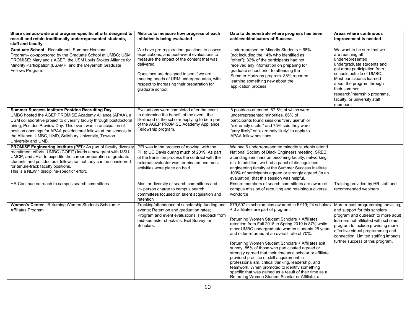| Share campus-wide and program-specific efforts designed to<br>recruit and retain traditionally underrepresented students,                                                                                                                                                                                                                                                                                        | Metrics to measure how progress of each<br>initiative is being evaluated                                                                                                                                                                                                                                           | Data to demonstrate where progress has been<br>achieved/Indicators of Success                                                                                                                                                                                                                                                                                                                                                                                                                                                                                                                                                                                                                                                                       | Areas where continuous<br>improvement is needed                                                                                                                                                                                                                                                                   |
|------------------------------------------------------------------------------------------------------------------------------------------------------------------------------------------------------------------------------------------------------------------------------------------------------------------------------------------------------------------------------------------------------------------|--------------------------------------------------------------------------------------------------------------------------------------------------------------------------------------------------------------------------------------------------------------------------------------------------------------------|-----------------------------------------------------------------------------------------------------------------------------------------------------------------------------------------------------------------------------------------------------------------------------------------------------------------------------------------------------------------------------------------------------------------------------------------------------------------------------------------------------------------------------------------------------------------------------------------------------------------------------------------------------------------------------------------------------------------------------------------------------|-------------------------------------------------------------------------------------------------------------------------------------------------------------------------------------------------------------------------------------------------------------------------------------------------------------------|
| staff and faculty.                                                                                                                                                                                                                                                                                                                                                                                               |                                                                                                                                                                                                                                                                                                                    |                                                                                                                                                                                                                                                                                                                                                                                                                                                                                                                                                                                                                                                                                                                                                     |                                                                                                                                                                                                                                                                                                                   |
| <b>Graduate School - Recruitment: Summer Horizons</b><br>Program- co-sponsored by the Graduate School at UMBC; USM<br>PROMISE: Maryland's AGEP; the USM Louis Stokes Alliance for<br>Minority Participation (LSAMP, and the Meyerhoff Graduate<br>Fellows Program.                                                                                                                                               | We have pre-registration questions to assess<br>expectations, and post-event evaluations to<br>measure the impact of the content that was<br>delivered.<br>Questions are designed to see if we are<br>meeting needs of URM undergraduates, with<br>respect to increasing their preparation for<br>graduate school. | Underrepresented Minority Students = 68%<br>(not including the 14% who identified as<br>"other"); 32% of the participants had not<br>received any information on preparing for<br>graduate school prior to attending the<br>Summer Horizons program. 88% reported<br>learning something new about the<br>application process;                                                                                                                                                                                                                                                                                                                                                                                                                       | We want to be sure that we<br>are reaching all<br>underrepresented<br>undergraduate students and<br>get more participation from<br>schools outside of UMBC.<br>Most participants learned<br>about the program through<br>their summer<br>research/internship programs,<br>faculty, or university staff<br>members |
| <b>Summer Success Institute Postdoc Recruiting Day:</b><br>UMBC hosted the AGEP PROMISE Academy Alliance (APAA), a<br>USM collaborative project to diversify faculty through postdoctoral<br>hiring, Postdoc Preview Day. This event was in anticipation of<br>position openings for APAA postdoctoral fellows at the schools in<br>the Alliance: UMBC, UMD, Salisbury University, Towson<br>University and UMB. | Evaluations were completed after the event<br>to determine the benefit of the event, the<br>likelihood of the scholar applying to be a part<br>of the AGEP PROMISE Academy Appliance<br>Fellowship program.                                                                                                        | 8 postdocs attended, 87.5% of which were<br>underrepresented minorities. 86% of<br>participants found sessions "very useful" or<br>"extremely useful" and 75% said they were<br>"very likely" or "extremely likely" to apply to<br>APAA fellow positions.                                                                                                                                                                                                                                                                                                                                                                                                                                                                                           |                                                                                                                                                                                                                                                                                                                   |
| <b>PROMISE Engineering Institute (PEI):</b> As part of faculty diversity<br>recruitment efforts, UMBC (COEIT) leads a new grant with MSU,<br>UMCP, and JHU, to expedite the career preparation of graduate<br>students and postdoctoral fellows so that they can be considered<br>for tenure-track faculty positions.<br>This is a NEW * discipline-specific* effort.                                            | PEI was in the process of moving, with the<br>PI, to UC Davis during much of 2019. As part<br>of the transition process the contract with the<br>external evaluator was terminated and most<br>activities were place on hold.                                                                                      | We had 6 underrepresented minority students attend<br>National Society of Black Engineers meeting, SREB,<br>attending seminars on becoming faculty, networking,<br>etc. In addition, we had a panel of distinguished<br>engineering faculty at the Summer Success Institute.<br>100% of participants agreed or strongly agreed (in an<br>evaluation) that this session was helpful.                                                                                                                                                                                                                                                                                                                                                                 |                                                                                                                                                                                                                                                                                                                   |
| HR Continue outreach to campus search committees                                                                                                                                                                                                                                                                                                                                                                 | Monitor diversity of search committees and<br>in- person charge to campus search<br>committees focused on talent acquisition and<br>retention                                                                                                                                                                      | Ensure members of search committees are aware of<br>campus mission of recruiting and retaining a diverse<br>workforce                                                                                                                                                                                                                                                                                                                                                                                                                                                                                                                                                                                                                               | Training provided by HR staff and<br>recommended webinars                                                                                                                                                                                                                                                         |
| Women's Center - Returning Women Students Scholars +<br>Affiliates Program                                                                                                                                                                                                                                                                                                                                       | Tracking/attendance of scholarship funding and<br>events; Retention and graduation rates;<br>Program and event evaluations; Feedback from<br>mid-semester check-ins. Exit Survey for<br>Scholars.                                                                                                                  | \$79,507 in scholarships awarded in FY19; 24 scholars<br>+ 3 affiliates are part of program.<br>Returning Women Student Scholars + Affiliates<br>retention from Fall 2018 to Spring 2019 is 87% while<br>other UMBC undergraduate women students 25 years<br>and older returned at an overall rate of 70%.<br>Returning Women Student Scholars + Affiliates exit<br>survey, 85% of those who participated agreed or<br>strongly agreed that their time as a scholar or affiliate<br>provided practice or skill acquirement in<br>professionalism, critical thinking, leadership, and<br>teamwork. When promoted to identify something<br>specific that was gained as a result of their time as a<br>Returning Women Student Scholar or Affiliate, a | More robust programming, advising,<br>and support for this scholars<br>program and outreach to more adult<br>learners not affiliated with scholars<br>program to include providing more<br>effective virtual programming and<br>connection. Limited staffing impacts<br>further success of this program.          |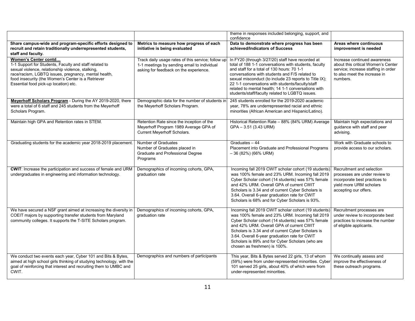|                                                                                                                                                                                                                                                                                            |                                                                                                                                             | theme in responses included belonging, support, and<br>confidence                                                                                                                                                                                                                                                                                                                                                                 |                                                                                                                                                       |
|--------------------------------------------------------------------------------------------------------------------------------------------------------------------------------------------------------------------------------------------------------------------------------------------|---------------------------------------------------------------------------------------------------------------------------------------------|-----------------------------------------------------------------------------------------------------------------------------------------------------------------------------------------------------------------------------------------------------------------------------------------------------------------------------------------------------------------------------------------------------------------------------------|-------------------------------------------------------------------------------------------------------------------------------------------------------|
| Share campus-wide and program-specific efforts designed to<br>recruit and retain traditionally underrepresented students,<br>staff and faculty.                                                                                                                                            | Metrics to measure how progress of each<br>initiative is being evaluated                                                                    | Data to demonstrate where progress has been<br>achieved/Indicators of Success                                                                                                                                                                                                                                                                                                                                                     | Areas where continuous<br>improvement is needed                                                                                                       |
| Women's Center contd<br>1-1 Support for Students, Faculty and staff related to<br>sexual violence, relationship violence, stalking,<br>race/racism, LGBTQ issues, pregnancy, mental health,<br>food insecurity (the Women's Center is a Retriever<br>Essential food pick-up location) etc. | Track daily usage rates of this service; follow up<br>1-1 meetings by sending email to individual<br>asking for feedback on the experience. | In FY20 (through 3/27/20) staff have recorded at<br>total of 188 1-1 conversations with students, faculty<br>and staff for a total of 130 hours: 70 1-1<br>conversations with students and F/S related to<br>sexual misconduct (to include 23 reports to Title IX);<br>22 1-1 conversations with students/faculty/staff<br>related to mental health; 14 1-1 conversations with<br>students/staff/faculty related to LGBTQ issues. | Increase continued awareness<br>about this critical Women's Center<br>service; increase staffing in order<br>to also meet the increase in<br>numbers. |
| Meyerhoff Scholars Program - During the AY 2019-2020, there<br>were a total of 6 staff and 245 students from the Meyerhoff<br>Scholars Program.                                                                                                                                            | Demographic data for the number of students in<br>the Meyerhoff Scholars Program.                                                           | 245 students enrolled for the 2019-2020 academic<br>year, 78% are underrepresented racial and ethnic<br>minorities (African American and Hispanic/Latino).                                                                                                                                                                                                                                                                        |                                                                                                                                                       |
| Maintain high GPA and Retention rates in STEM.                                                                                                                                                                                                                                             | Retention Rate since the inception of the<br>Meyerhoff Program 1989 Average GPA of<br>Current Meyerhoff Scholars.                           | Historical Retention Rate - 88% (84% URM) Average<br>GPA - 3.51 (3.43 URM)                                                                                                                                                                                                                                                                                                                                                        | Maintain high expectations and<br>guidance with staff and peer<br>advising.                                                                           |
| Graduating students for the academic year 2018-2019 placement                                                                                                                                                                                                                              | Number of Graduates<br>Number of Graduates placed in<br>Graduate and Professional Degree<br>Programs                                        | Graduates - 44<br>Placement into Graduate and Professional Programs<br>$-36(82%)$ (66% URM)                                                                                                                                                                                                                                                                                                                                       | Work with Graduate schools to<br>provide access to our scholars.                                                                                      |
| CWIT: Increase the participation and success of female and URM<br>undergraduates in engineering and information technology.                                                                                                                                                                | Demographics of incoming cohorts, GPA,<br>graduation rate                                                                                   | Incoming fall 2019 CWIT scholar cohort (19 students)<br>was 100% female and 23% URM. Incoming fall 2019<br>Cyber Scholar cohort (14 students) was 57% female<br>and 42% URM. Overall GPA of current CWIT<br>Scholars is 3.34 and of current Cyber Scholars is<br>3.64. Overall 6-year graduation rate for CWIT<br>Scholars is 68% and for Cyber Scholars is 93%.                                                                  | Recruitment and selection<br>processes are under review to<br>incorporate best practices to<br>yield more URM scholars<br>accepting our offers.       |
| We have secured a NSF grant aimed at increasing the diversity in<br>COEIT majors by supporting transfer students from Maryland<br>community colleges. It supports the T-SITE Scholars program.                                                                                             | Demographics of incoming cohorts, GPA,<br>graduation rate                                                                                   | Incoming fall 2019 CWIT scholar cohort (19 students)<br>was 100% female and 23% URM. Incoming fall 2019<br>Cyber Scholar cohort (14 students) was 57% female<br>and 42% URM. Overall GPA of current CWIT<br>Scholars is 3.34 and of current Cyber Scholars is<br>3.64. Overall 6-year graduation rate for CWIT<br>Scholars is 89% and for Cyber Scholars (who are<br>chosen as freshmen) is 100%.                                 | Recruitment processes are<br>under review to incorporate best<br>practices to increase the number<br>of eligible applicants.                          |
| We conduct two events each year, Cyber 101 and Bits & Bytes,<br>aimed at high school girls thinking of studying technology, with the<br>goal of reinforcing that interest and recruiting them to UMBC and<br>CWIT.                                                                         | Demographics and numbers of participants                                                                                                    | This year, Bits & Bytes served 22 girls, 13 of whom<br>(59%) were from under-represented minorities. Cyber<br>101 served 25 girls, about 40% of which were from<br>under-represented minorities.                                                                                                                                                                                                                                  | We continually assess and<br>improve the effectiveness of<br>these outreach programs.                                                                 |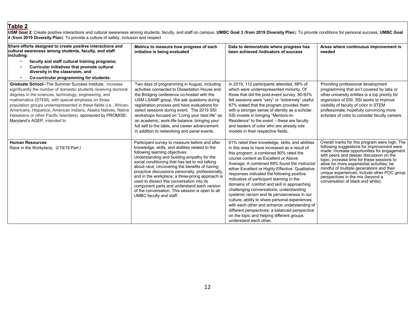### **Table 2**

USM Goal 2: Create positive interactions and cultural awareness among students, faculty, and staff on campus. UMBC Goal 3 (from 2019 Diversity Plan): To provide conditions for personal success. UMBC Goal **4** (**from 2019 Diversity Plan**): To provide a culture of safety, inclusion and respect

| Share efforts designed to create positive interactions and<br>cultural awareness among students, faculty, and staff<br>including:                                                                                                                                                                                                                                                                                                                                                         | Metrics to measure how progress of each<br>initiative is being evaluated                                                                                                                                                                                                                                                                                                                                                                                                                                                                                                  | Data to demonstrate where progress has<br>been achieved /indicators of success                                                                                                                                                                                                                                                                                                                                                                                                                                                                                                                                                                                                                                                                             | Areas where continuous improvement is<br>needed                                                                                                                                                                                                                                                                                                                                                                                                         |
|-------------------------------------------------------------------------------------------------------------------------------------------------------------------------------------------------------------------------------------------------------------------------------------------------------------------------------------------------------------------------------------------------------------------------------------------------------------------------------------------|---------------------------------------------------------------------------------------------------------------------------------------------------------------------------------------------------------------------------------------------------------------------------------------------------------------------------------------------------------------------------------------------------------------------------------------------------------------------------------------------------------------------------------------------------------------------------|------------------------------------------------------------------------------------------------------------------------------------------------------------------------------------------------------------------------------------------------------------------------------------------------------------------------------------------------------------------------------------------------------------------------------------------------------------------------------------------------------------------------------------------------------------------------------------------------------------------------------------------------------------------------------------------------------------------------------------------------------------|---------------------------------------------------------------------------------------------------------------------------------------------------------------------------------------------------------------------------------------------------------------------------------------------------------------------------------------------------------------------------------------------------------------------------------------------------------|
| faculty and staff cultural training programs;<br>$\bullet$<br>Curricular initiatives that promote cultural<br>$\bullet$<br>diversity in the classroom, and                                                                                                                                                                                                                                                                                                                                |                                                                                                                                                                                                                                                                                                                                                                                                                                                                                                                                                                           |                                                                                                                                                                                                                                                                                                                                                                                                                                                                                                                                                                                                                                                                                                                                                            |                                                                                                                                                                                                                                                                                                                                                                                                                                                         |
| Co-curricular programming for students.<br>$\bullet$                                                                                                                                                                                                                                                                                                                                                                                                                                      |                                                                                                                                                                                                                                                                                                                                                                                                                                                                                                                                                                           |                                                                                                                                                                                                                                                                                                                                                                                                                                                                                                                                                                                                                                                                                                                                                            |                                                                                                                                                                                                                                                                                                                                                                                                                                                         |
| <b>Graduate School--The Summer Success Institute, increase</b><br>significantly the number of domestic students receiving doctoral<br>degrees in the sciences, technology, engineering, and<br>mathematics (STEM), with special emphasis on those<br>population groups underrepresented in these fields (i.e., African-<br>Americans, Hispanics, American Indians, Alaska Natives, Native<br>Hawaiians or other Pacific Islanders). sponsored by PROMISE:<br>Maryland's AGEP, intended to | Two days of programming in August, including<br>activities connected to Dissertation House and<br>the Bridging conference co-hosted with the<br>USM LSAMP group. We ask questions during<br>registration process and have evaluations for<br>select sessions during event. The 2019 SSI<br>workshops focused on "Living your best life" as<br>an academic, work-life balance, bringing your<br>full self to the table, and career advancement<br>in addition to networking and panel events.                                                                              | In 2019, 112 participants attended, 88% of<br>which were underrepresented minority. Of<br>those that did the post-event survey, 80-93%<br>felt sessions were "very" or "extremely" useful.<br>87% stated that the program provides them<br>with a stronger sense of identity as a scholar.<br>SSI invests in bringing "Mentors-in-<br>Residence" to the event - these are faculty<br>and leaders of color who are already role<br>models in their respective fields.                                                                                                                                                                                                                                                                                       | Providing professional development<br>programming that isn't covered by labs or<br>other university entities is a top priority for<br>organizers of SSI. SSI works to improve<br>visibility of faculty of color in STEM<br>professoriate, hopefully convincing more<br>scholars of color to consider faculty careers.                                                                                                                                   |
| <b>Human Resources</b><br>Race in the Workplace, 2/19/19 Part I                                                                                                                                                                                                                                                                                                                                                                                                                           | Participant survey to measure before and after<br>knowledge, skills, and abilities related to the<br>following learning objectives:<br>Understanding and building empathy for the<br>social conditioning that has led to not talking<br>about race; Uncovering the benefits of having<br>proactive discussions personally, professionally,<br>and in the workplace; a three-prong approach is<br>used to dissect this conversation into its<br>component parts and understand each version<br>of the conversation. This session is open to all<br>UMBC faculty and staff. | 61% rated their knowledge, skills, and abilities<br>in this area to have increased as a result of<br>this program; a combined 80% rated the<br>course content as Excellent or Above<br>Average; A combined 88% found the instructor<br>either Excellent or Highly Effective. Qualitative<br>responses indicated the following positive<br>indicators of participant learning in the<br>domains of: comfort and skill in approaching<br>challenging conversations; understanding<br>systemic racism and its pervasiveness in our<br>culture; ability to share personal experiences<br>with each other and enhance understanding of<br>different perspectives; a balanced perspective<br>on the topic and helping different groups<br>understand each other. | Overall marks for this program were high. The<br>following suggestions for improvement were<br>made: Increase opportunities for engagement<br>with peers and deeper discussion on the<br>topic; increase time for these sessions to<br>allow for more experiential activities; be<br>mindful of multiple generations and their<br>unique experiences; include other POC group<br>perspectives in the mix (beyond a<br>conversation of black and white). |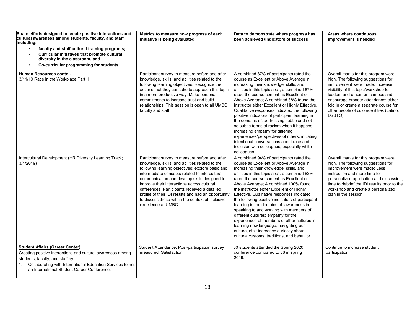| Share efforts designed to create positive interactions and<br>cultural awareness among students, faculty, and staff<br>including:<br>faculty and staff cultural training programs;<br>$\bullet$<br>Curricular initiatives that promote cultural<br>$\bullet$<br>diversity in the classroom, and<br>Co-curricular programming for students.<br>$\bullet$ | Metrics to measure how progress of each<br>initiative is being evaluated                                                                                                                                                                                                                                                                                                                                                                                                                 | Data to demonstrate where progress has<br>been achieved /indicators of success                                                                                                                                                                                                                                                                                                                                                                                                                                                                                                                                                                                                                                                     | Areas where continuous<br>improvement is needed                                                                                                                                                                                                                                                                                       |
|---------------------------------------------------------------------------------------------------------------------------------------------------------------------------------------------------------------------------------------------------------------------------------------------------------------------------------------------------------|------------------------------------------------------------------------------------------------------------------------------------------------------------------------------------------------------------------------------------------------------------------------------------------------------------------------------------------------------------------------------------------------------------------------------------------------------------------------------------------|------------------------------------------------------------------------------------------------------------------------------------------------------------------------------------------------------------------------------------------------------------------------------------------------------------------------------------------------------------------------------------------------------------------------------------------------------------------------------------------------------------------------------------------------------------------------------------------------------------------------------------------------------------------------------------------------------------------------------------|---------------------------------------------------------------------------------------------------------------------------------------------------------------------------------------------------------------------------------------------------------------------------------------------------------------------------------------|
| Human Resources contd<br>3/11/19 Race in the Workplace Part II                                                                                                                                                                                                                                                                                          | Participant survey to measure before and after<br>knowledge, skills, and abilities related to the<br>following learning objectives: Recognize the<br>actions that they can take to approach this topic<br>in a more productive way; Make personal<br>commitments to increase trust and build<br>relationships. This session is open to all UMBC<br>faculty and staff.                                                                                                                    | A combined 87% of participants rated the<br>course as Excellent or Above Average in<br>increasing their knowledge, skills, and<br>abilities in this topic area; a combined 87%<br>rated the course content as Excellent or<br>Above Average; A combined 88% found the<br>instructor either Excellent or Highly Effective.<br>Qualitative responses indicated the following<br>positive indicators of participant learning in<br>the domains of: addressing subtle and not<br>so subtle forms of racism when it happens;<br>increasing empathy for differing<br>experiences/perspectives of others; initiating<br>intentional conversations about race and<br>inclusion with colleagues, especially white<br>colleagues.            | Overall marks for this program were<br>high. The following suggestions for<br>improvement were made: Increase<br>visibility of this topic/workshop for<br>leaders and others on campus and<br>encourage broader attendance; either<br>fold in or create a separate course for<br>other people of color/identities (Latino,<br>LGBTQ). |
| Intercultural Development (HR Diversity Learning Track;<br>3/4/2019                                                                                                                                                                                                                                                                                     | Participant survey to measure before and after<br>knowledge, skills, and abilities related to the<br>following learning objectives: explore basic and<br>intermediate concepts related to intercultural<br>communication and develop skills designed to<br>improve their interactions across cultural<br>differences. Participants received a detailed<br>profile of their IDI results and had an opportunity<br>to discuss these within the context of inclusive<br>excellence at UMBC. | A combined 94% of participants rated the<br>course as Excellent or Above Average in<br>increasing their knowledge, skills, and<br>abilities in this topic area; a combined 82%<br>rated the course content as Excellent or<br>Above Average; A combined 100% found<br>the instructor either Excellent or Highly<br>Effective. Qualitative responses indicated<br>the following positive indicators of participant<br>learning in the domains of: awareness in<br>speaking to and working with members of<br>different cultures; empathy for the<br>experiences of members of other cultures in<br>learning new language, navigating our<br>culture, etc.; increased curiosity about<br>cultural customs, traditions, and behavior. | Overall marks for this program were<br>high. The following suggestions for<br>improvement were made: Less<br>instruction and more time for<br>personalized application and discussion;<br>time to debrief the IDI results prior to the<br>workshop and create a personalized<br>plan in the session                                   |
| <b>Student Affairs (Career Center)</b><br>Creating positive interactions and cultural awareness among<br>students, faculty, and staff by:<br>1. Collaborating with International Education Services to host<br>an International Student Career Conference.                                                                                              | Student Attendance. Post-participation survey<br>measured: Satisfaction                                                                                                                                                                                                                                                                                                                                                                                                                  | 60 students attended the Spring 2020<br>conference compared to 56 in spring<br>2019.                                                                                                                                                                                                                                                                                                                                                                                                                                                                                                                                                                                                                                               | Continue to increase student<br>participation.                                                                                                                                                                                                                                                                                        |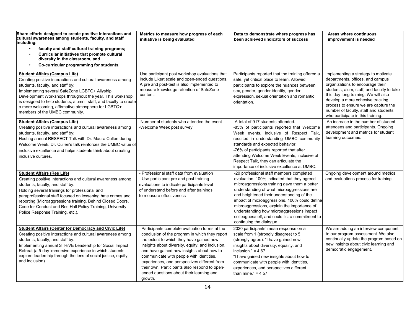| Share efforts designed to create positive interactions and<br>cultural awareness among students, faculty, and staff<br>including:<br>faculty and staff cultural training programs;<br>Curricular initiatives that promote cultural<br>diversity in the classroom, and<br>Co-curricular programming for students.                                                                                                     | Metrics to measure how progress of each<br>initiative is being evaluated                                                                                                                                                                                                                                                                                                                                                                         | Data to demonstrate where progress has<br>been achieved /indicators of success                                                                                                                                                                                                                                                                                                                                                                                 | Areas where continuous<br>improvement is needed                                                                                                                                                                                                                                                                                                             |
|----------------------------------------------------------------------------------------------------------------------------------------------------------------------------------------------------------------------------------------------------------------------------------------------------------------------------------------------------------------------------------------------------------------------|--------------------------------------------------------------------------------------------------------------------------------------------------------------------------------------------------------------------------------------------------------------------------------------------------------------------------------------------------------------------------------------------------------------------------------------------------|----------------------------------------------------------------------------------------------------------------------------------------------------------------------------------------------------------------------------------------------------------------------------------------------------------------------------------------------------------------------------------------------------------------------------------------------------------------|-------------------------------------------------------------------------------------------------------------------------------------------------------------------------------------------------------------------------------------------------------------------------------------------------------------------------------------------------------------|
| <b>Student Affairs (Campus Life)</b><br>Creating positive interactions and cultural awareness among<br>students, faculty, and staff by:<br>Implementing several SafeZone LGBTQ+ Allyship<br>Development Workshops throughout the year. This workshop<br>is designed to help students, alumni, staff, and faculty to create<br>a more welcoming, affirmative atmosphere for LGBTQ+<br>members of the UMBC community.  | Use participant post workshop evaluations that<br>include Likert scale and open-ended questions.<br>A pre and post-test is also implemented to<br>measure knowledge retention of SafeZone<br>content.                                                                                                                                                                                                                                            | Participants reported that the training offered a<br>safe, yet critical place to learn. Allowed<br>participants to explore the nuances between<br>sex, gender, gender identity, gender<br>expression, sexual orientation and romantic<br>orientation.                                                                                                                                                                                                          | Implementing a strategy to motivate<br>departments, offices, and campus<br>organizations to encourage their<br>students, alum, staff, and faculty to take<br>this day-long training. We will also<br>develop a more cohesive tracking<br>process to ensure we are capture the<br>number of faculty, staff and students<br>who participate in this training. |
| <b>Student Affairs (Campus Life)</b><br>Creating positive interactions and cultural awareness among<br>students, faculty, and staff by:<br>Hosting annual RESPECT Talk with Dr. Maura Cullen during<br>Welcome Week. Dr. Cullen's talk reinforces the UMBC value of<br>inclusive excellence and helps students think about creating<br>inclusive cultures.                                                           | -Number of students who attended the event<br>-Welcome Week post survey                                                                                                                                                                                                                                                                                                                                                                          | -A total of 917 students attended.<br>-85% of participants reported that Welcome<br>Week events, inclusive of Respect Talk,<br>resulted in understanding UMBC community<br>standards and expected behavior.<br>-76% of participants reported that after<br>attending Welcome Week Events, inclusive of<br>Respect Talk, they can articulate the<br>importance of inclusive excellence at UMBC.                                                                 | -An increase in the number of student<br>attendees and participants. Ongoing<br>development and metrics for student<br>learning outcomes.                                                                                                                                                                                                                   |
| <b>Student Affairs (Res Life)</b><br>Creating positive interactions and cultural awareness among<br>students, faculty, and staff by:<br>Holding several trainings for professional and<br>paraprofessional staff focused on lessening hate crimes and<br>reporting (Microaggressions training, Behind Closed Doors,<br>Code for Conduct and Res Hall Policy Training, University<br>Police Response Training, etc.). | - Professional staff data from evaluation<br>- Use participant pre and post training<br>evaluations to indicate participants level<br>of understand before and after trainings<br>to measure effectiveness                                                                                                                                                                                                                                       | -20 professional staff members completed<br>evaluation. 100% indicated that they agreed<br>microaggressions training gave them a better<br>understanding of what microaggressions are<br>and heightened their understanding of the<br>impact of microaggressions. 100% could define<br>microaggressions, explain the importance of<br>understanding how microaggressions impact<br>colleagues/self, and could list a commitment to<br>continuing the dialogue. | Ongoing development around metrics<br>and evaluations process for training.                                                                                                                                                                                                                                                                                 |
| <b>Student Affairs (Center for Democracy and Civic Life)</b><br>Creating positive interactions and cultural awareness among<br>students, faculty, and staff by:<br>Implementing annual STRIVE Leadership for Social Impact<br>Retreat (a 5-day immersive experience in which students<br>explore leadership through the lens of social justice, equity,<br>and inclusion)                                            | Participants complete evaluation forms at the<br>conclusion of the program in which they report<br>the extent to which they have gained new<br>insights about diversity, equity, and inclusion,<br>and have gained new insights about how to<br>communicate with people with identities,<br>experiences, and perspectives different from<br>their own. Participants also respond to open-<br>ended questions about their learning and<br>growth. | 2020 participants' mean response on a<br>scale from 1 (strongly disagree) to 5<br>(strongly agree): "I have gained new<br>insights about diversity, equality, and<br>inclusion." = $4.67$<br>"I have gained new insights about how to<br>communicate with people with identities,<br>experiences, and perspectives different<br>than mine." = $4.57$                                                                                                           | We are adding an interview component<br>to our program assessment. We also<br>continually update the program based on<br>new insights about civic learning and<br>democratic engagement.                                                                                                                                                                    |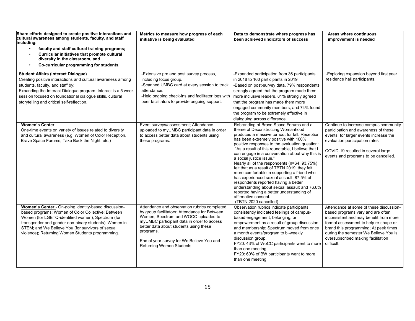| Share efforts designed to create positive interactions and<br>cultural awareness among students, faculty, and staff<br>including:<br>faculty and staff cultural training programs;<br>Curricular initiatives that promote cultural<br>$\bullet$<br>diversity in the classroom, and<br>Co-curricular programming for students.<br>$\bullet$ | Metrics to measure how progress of each<br>initiative is being evaluated                                                                                                                                                                                                                                                   | Data to demonstrate where progress has<br>been achieved /indicators of success                                                                                                                                                                                                                                                                                                                                                                                                                                                                                                                                                                                                                                                                | Areas where continuous<br>improvement is needed                                                                                                                                                                                                                                                       |
|--------------------------------------------------------------------------------------------------------------------------------------------------------------------------------------------------------------------------------------------------------------------------------------------------------------------------------------------|----------------------------------------------------------------------------------------------------------------------------------------------------------------------------------------------------------------------------------------------------------------------------------------------------------------------------|-----------------------------------------------------------------------------------------------------------------------------------------------------------------------------------------------------------------------------------------------------------------------------------------------------------------------------------------------------------------------------------------------------------------------------------------------------------------------------------------------------------------------------------------------------------------------------------------------------------------------------------------------------------------------------------------------------------------------------------------------|-------------------------------------------------------------------------------------------------------------------------------------------------------------------------------------------------------------------------------------------------------------------------------------------------------|
| <b>Student Affairs (Interact Dialogue)</b><br>Creating positive interactions and cultural awareness among<br>students, faculty, and staff by:<br>Expanding the Interact Dialogue program. Interact is a 5 week<br>session focused on foundational dialogue skills, cultural<br>storytelling and critical self-reflection.                  | -Extensive pre and post survey process,<br>including focus group.<br>-Scanned UMBC card at every session to track<br>attendance.<br>-Held ongoing check-ins and facilitator logs with<br>peer facilitators to provide ongoing support.                                                                                     | -Expanded participation from 36 participants<br>in 2018 to 160 participants in 2019<br>-Based on post-survey data, 79% respondents<br>strongly agreed that the program made them<br>more inclusive leaders, 81% strongly agreed<br>that the program has made them more<br>engaged community members, and 74% found<br>the program to be extremely effective in<br>dialoguing across difference.                                                                                                                                                                                                                                                                                                                                               | -Exploring expansion beyond first year<br>residence hall participants.                                                                                                                                                                                                                                |
| <b>Women's Center</b><br>One-time events on variety of issues related to diversity<br>and cultural awareness (e.g. Women of Color Reception,<br>Brave Space Forums, Take Back the Night, etc.)                                                                                                                                             | Event surveys/assessment; Attendance<br>uploaded to myUMBC participant data in order<br>to access better data about students using<br>these programs.                                                                                                                                                                      | Rebranding of Brave Space Forums and a<br>theme of Deconstructing Womanhood<br>produced a massive turnout for fall. Reception<br>has been extremely positive with 100%<br>positive responses to the evaluation question:<br>"As a result of this roundtable. I believe that I<br>can engage in a conversation about why this is<br>a social justice issue."<br>Nearly all of the respondents (n=64; 93.75%)<br>felt that as a result of TBTN 2019, they felt<br>more comfortable in supporting a friend who<br>has experienced sexual assault. 87.5% of<br>respondents reported having a better<br>understanding about sexual assault and 76.6%<br>reported having a better understanding of<br>affirmative consent.<br>(TBTN 2020 cancelled) | Continue to increase campus community<br>participation and awareness of these<br>events; for larger events increase the<br>evaluation participation rates<br>COVID-19 resulted in several large<br>events and programs to be cancelled.                                                               |
| Women's Center - On-going identity-based discussion-<br>based programs: Women of Color Collective; Between<br>Women (for LGBTQ-identified women); Spectrum (for<br>transgender and gender non-binary students); Women in<br>STEM; and We Believe You (for survivors of sexual<br>violence); Returning Women Students programming.          | Attendance and observation rubrics completed<br>by group facilitators; Attendance for Between<br>Women, Spectrum and WOCC uploaded to<br>myUMBC participant data in order to access<br>better data about students using these<br>programs.<br>End of year survey for We Believe You and<br><b>Returning Women Students</b> | Observation rubrics indicate participants<br>consistently indicated feelings of campus-<br>based engagement, belonging, or<br>empowerment as a result of group discussion<br>and membership; Spectrum moved from once<br>a month events/program to bi-weekly<br>discussion group.<br>FY20: 43% of WoCC participants went to more<br>than one meeting<br>FY20: 60% of BW participants went to more<br>than one meeting                                                                                                                                                                                                                                                                                                                         | Attendance at some of these discussion-<br>based programs vary and are often<br>inconsistent and may benefit from more<br>formal assessment to help re-shape or<br>brand this programming; At peek times<br>during the semester We Believe You is<br>oversubscribed making facilitation<br>difficult. |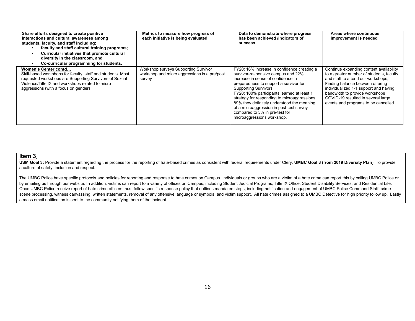| Share efforts designed to create positive<br>interactions and cultural awareness among<br>students, faculty, and staff including:<br>faculty and staff cultural training programs;<br>Curricular initiatives that promote cultural<br>diversity in the classroom, and<br>Co-curricular programming for students. | Metrics to measure how progress of<br>each initiative is being evaluated                       | Data to demonstrate where progress<br>has been achieved /indicators of<br><b>SUCCESS</b>                                                                                                                                                                                                                                                                                                                                                                | Areas where continuous<br>improvement is needed                                                                                                                                                                                                                                                                         |
|------------------------------------------------------------------------------------------------------------------------------------------------------------------------------------------------------------------------------------------------------------------------------------------------------------------|------------------------------------------------------------------------------------------------|---------------------------------------------------------------------------------------------------------------------------------------------------------------------------------------------------------------------------------------------------------------------------------------------------------------------------------------------------------------------------------------------------------------------------------------------------------|-------------------------------------------------------------------------------------------------------------------------------------------------------------------------------------------------------------------------------------------------------------------------------------------------------------------------|
| Women's Center contd<br>Skill-based workshops for faculty, staff and students. Most<br>requested workshops are Supporting Survivors of Sexual<br>Violence/Title IX and workshops related to micro<br>aggressions (with a focus on gender)                                                                        | Workshop surveys Supporting Survivor<br>workshop and micro aggressions is a pre/post<br>survey | FY20: 16% increase in confidence creating a<br>survivor-responsive campus and 22%<br>increase in sense of confidence in<br>preparedness to support a survivor for<br><b>Supporting Survivors</b><br>FY20: 100% participants learned at least 1<br>strategy for responding to microaggressions<br>89% they definitely understood the meaning<br>of a microaggression in post-test survey<br>compared to 5% in pre-test for<br>microaggressions workshop. | Continue expanding content availability<br>to a greater number of students, faculty,<br>and staff to attend our workshops;<br>Finding balance between offering<br>individualized 1-1 support and having<br>bandwidth to provide workshops<br>COVID-19 resulted in several large<br>events and programs to be cancelled. |

#### **Item 3:**

**USM Goal 3:** Provide a statement regarding the process for the reporting of hate-based crimes as consistent with federal requirements under Clery, **UMBC Goal 3 (from 2019 Diversity Plan**): To provide a culture of safety, inclusion and respect.

The UMBC Police have specific protocols and policies for reporting and response to hate crimes on Campus. Individuals or groups who are a victim of a hate crime can report this by calling UMBC Police or by emailing us through our website. In addition, victims can report to a variety of offices on Campus, including Student Judicial Programs, Title IX Office, Student Disability Services, and Residential Life. Once UMBC Police receive report of hate crime officers must follow specific response policy that outlines mandated steps, including notification and engagement of UMBC Police Command Staff, crime scene processing, witness canvassing, written statements, removal of any offensive language or symbols, and victim support. All hate crimes assigned to a UMBC Detective for high priority follow up. Lastly a mass email notification is sent to the community notifying them of the incident.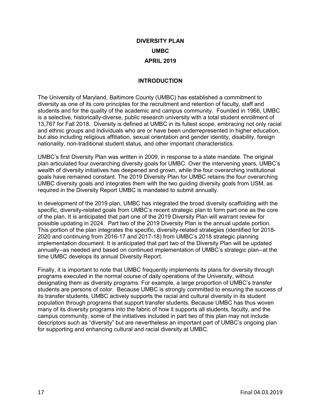## **DIVERSITY PLAN UMBC APRIL 2019**

#### **INTRODUCTION**

The University of Maryland, Baltimore County (UMBC) has established a commitment to diversity as one of its core principles for the recruitment and retention of faculty, staff and students and for the quality of the academic and campus community. Founded in 1966, UMBC is a selective, historically-diverse, public research university with a total student enrollment of 13,767 for Fall 2018. Diversity is defined at UMBC in its fullest scope, embracing not only racial and ethnic groups and individuals who are or have been underrepresented in higher education, but also including religious affiliation, sexual orientation and gender identity, disability, foreign nationality, non-traditional student status, and other important characteristics.

UMBC's first Diversity Plan was written in 2009, in response to a state mandate. The original plan articulated four overarching diversity goals for UMBC. Over the intervening years, UMBC's wealth of diversity initiatives has deepened and grown, while the four overarching institutional goals have remained constant. The 2019 Diversity Plan for UMBC retains the four overarching UMBC diversity goals and integrates them with the two guiding diversity goals from USM, as required in the Diversity Report UMBC is mandated to submit annually.

In development of the 2019 plan, UMBC has integrated the broad diversity scaffolding with the specific, diversity-related goals from UMBC's recent strategic plan to form part one as the core of the plan. It is anticipated that part one of the 2019 Diversity Plan will warrant review for possible updating in 2024. Part two of the 2019 Diversity Plan is the annual update portion. This portion of the plan integrates the specific, diversity-related strategies (identified for 2018- 2020 and continuing from 2016-17 and 2017-18) from UMBC's 2018 strategic planning implementation document. It is anticipated that part two of the Diversity Plan will be updated annually--as needed and based on continued implementation of UMBC's strategic plan--at the time UMBC develops its annual Diversity Report.

Finally, it is important to note that UMBC frequently implements its plans for diversity through programs executed in the normal course of daily operations of the University, without designating them as diversity programs. For example, a large proportion of UMBC's transfer students are persons of color. Because UMBC is strongly committed to ensuring the success of its transfer students, UMBC actively supports the racial and cultural diversity in its student population through programs that support transfer students. Because UMBC has thus woven many of its diversity programs into the fabric of how it supports all students, faculty, and the campus community, some of the initiatives included in part two of this plan may not include descriptors such as "diversity" but are nevertheless an important part of UMBC's ongoing plan for supporting and enhancing cultural and racial diversity at UMBC.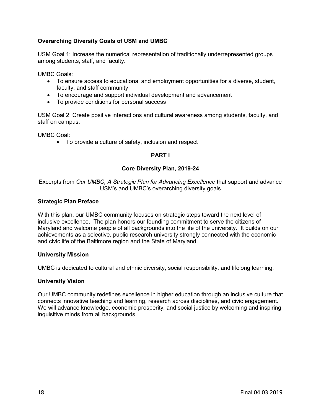### **Overarching Diversity Goals of USM and UMBC**

USM Goal 1: Increase the numerical representation of traditionally underrepresented groups among students, staff, and faculty.

UMBC Goals:

- To ensure access to educational and employment opportunities for a diverse, student, faculty, and staff community
- To encourage and support individual development and advancement
- To provide conditions for personal success

USM Goal 2: Create positive interactions and cultural awareness among students, faculty, and staff on campus.

UMBC Goal:

• To provide a culture of safety, inclusion and respect

#### **PART I**

#### **Core Diversity Plan, 2019-24**

Excerpts from *Our UMBC, A Strategic Plan for Advancing Excellence* that support and advance USM's and UMBC's overarching diversity goals

#### **Strategic Plan Preface**

With this plan, our UMBC community focuses on strategic steps toward the next level of inclusive excellence. The plan honors our founding commitment to serve the citizens of Maryland and welcome people of all backgrounds into the life of the university. It builds on our achievements as a selective, public research university strongly connected with the economic and civic life of the Baltimore region and the State of Maryland.

#### **University Mission**

UMBC is dedicated to cultural and ethnic diversity, social responsibility, and lifelong learning.

#### **University Vision**

Our UMBC community redefines excellence in higher education through an inclusive culture that connects innovative teaching and learning, research across disciplines, and civic engagement. We will advance knowledge, economic prosperity, and social justice by welcoming and inspiring inquisitive minds from all backgrounds.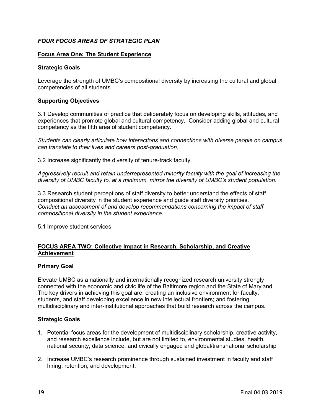### *FOUR FOCUS AREAS OF STRATEGIC PLAN*

#### **Focus Area One: The Student Experience**

#### **Strategic Goals**

Leverage the strength of UMBC's compositional diversity by increasing the cultural and global competencies of all students.

#### **Supporting Objectives**

3.1 Develop communities of practice that deliberately focus on developing skills, attitudes, and experiences that promote global and cultural competency. Consider adding global and cultural competency as the fifth area of student competency.

*Students can clearly articulate how interactions and connections with diverse people on campus can translate to their lives and careers post-graduation.*

3.2 Increase significantly the diversity of tenure-track faculty.

*Aggressively recruit and retain underrepresented minority faculty with the goal of increasing the diversity of UMBC faculty to, at a minimum, mirror the diversity of UMBC's student population.*

3.3 Research student perceptions of staff diversity to better understand the effects of staff compositional diversity in the student experience and guide staff diversity priorities. *Conduct an assessment of and develop recommendations concerning the impact of staff compositional diversity in the student experience.*

5.1 Improve student services

#### **FOCUS AREA TWO: Collective Impact in Research, Scholarship, and Creative Achievement**

#### **Primary Goal**

Elevate UMBC as a nationally and internationally recognized research university strongly connected with the economic and civic life of the Baltimore region and the State of Maryland. The key drivers in achieving this goal are: creating an inclusive environment for faculty, students, and staff developing excellence in new intellectual frontiers; and fostering multidisciplinary and inter-institutional approaches that build research across the campus.

#### **Strategic Goals**

- 1. Potential focus areas for the development of multidisciplinary scholarship, creative activity, and research excellence include, but are not limited to, environmental studies, health, national security, data science, and civically engaged and global/transnational scholarship
- 2. Increase UMBC's research prominence through sustained investment in faculty and staff hiring, retention, and development.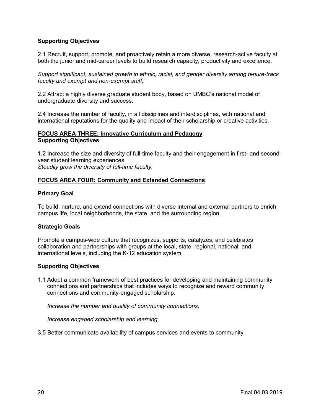#### **Supporting Objectives**

2.1 Recruit, support, promote, and proactively retain a more diverse, research-active faculty at both the junior and mid-career levels to build research capacity, productivity and excellence.

*Support significant, sustained growth in ethnic, racial, and gender diversity among tenure-track faculty and exempt and non-exempt staff.*

2.2 Attract a highly diverse graduate student body, based on UMBC's national model of undergraduate diversity and success.

2.4 Increase the number of faculty, in all disciplines and interdisciplines, with national and international reputations for the quality and impact of their scholarship or creative activities*.*

#### **FOCUS AREA THREE: Innovative Curriculum and Pedagogy Supporting Objectives**

1.2 Increase the size and diversity of full-time faculty and their engagement in first- and secondyear student learning experiences. *Steadily grow the diversity of full-time faculty.*

#### **FOCUS AREA FOUR: Community and Extended Connections**

#### **Primary Goal**

To build, nurture, and extend connections with diverse internal and external partners to enrich campus life, local neighborhoods, the state, and the surrounding region.

#### **Strategic Goals**

Promote a campus-wide culture that recognizes, supports, catalyzes, and celebrates collaboration and partnerships with groups at the local, state, regional, national, and international levels, including the K-12 education system.

#### **Supporting Objectives**

1.1 Adopt a common framework of best practices for developing and maintaining community connections and partnerships that includes ways to recognize and reward community connections and community-engaged scholarship.

*Increase the number and quality of community connections.*

*Increase engaged scholarship and learning.*

3.5 Better communicate availability of campus services and events to community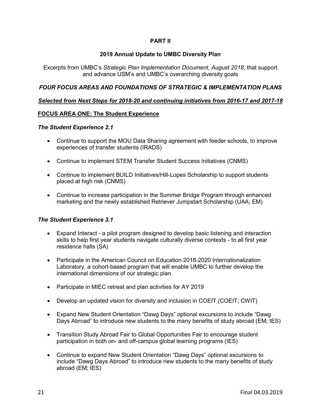#### **PART II**

#### **2019 Annual Update to UMBC Diversity Plan**

Excerpts from UMBC's *Strategic Plan Implementation Document, August 2018*, that support and advance USM's and UMBC's overarching diversity goals

#### *FOUR FOCUS AREAS AND FOUNDATIONS OF STRATEGIC & IMPLEMENTATION PLANS*

#### *Selected from Next Steps for 2018-20 and continuing initiatives from 2016-17 and 2017-18*

#### **FOCUS AREA ONE: The Student Experience**

#### *The Student Experience 2.1*

- Continue to support the MOU Data Sharing agreement with feeder schools, to improve experiences of transfer students (IRADS)
- Continue to implement STEM Transfer Student Success Initiatives (CNMS)
- Continue to implement BUILD Initiatives/Hill-Lopes Scholarship to support students placed at high risk (CNMS)
- Continue to increase participation in the Summer Bridge Program through enhanced marketing and the newly established Retriever Jumpstart Scholarship (UAA; EM)

#### *The Student Experience 3.1*

- Expand Interact a pilot program designed to develop basic listening and interaction skills to help first year students navigate culturally diverse contexts - to all first year residence halls (SA)
- Participate in the American Council on Education 2018-2020 Internationalization Laboratory, a cohort-based program that will enable UMBC to further develop the international dimensions of our strategic plan
- Participate in MIEC retreat and plan activities for AY 2019
- Develop an updated vision for diversity and inclusion in COEIT (COEIT; CWIT)
- Expand New Student Orientation "Dawg Days" optional excursions to include "Dawg Days Abroad" to introduce new students to the many benefits of study abroad (EM; IES)
- Transition Study Abroad Fair to Global Opportunities Fair to encourage student participation in both on- and off-campus global learning programs (IES)
- Continue to expand New Student Orientation "Dawg Days" optional excursions to include "Dawg Days Abroad" to introduce new students to the many benefits of study abroad (EM; IES)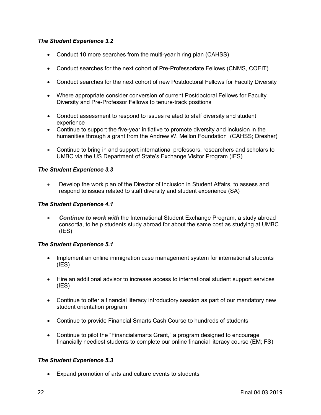#### *The Student Experience 3.2*

- Conduct 10 more searches from the multi-year hiring plan (CAHSS)
- Conduct searches for the next cohort of Pre-Professoriate Fellows (CNMS, COEIT)
- Conduct searches for the next cohort of new Postdoctoral Fellows for Faculty Diversity
- Where appropriate consider conversion of current Postdoctoral Fellows for Faculty Diversity and Pre-Professor Fellows to tenure-track positions
- Conduct assessment to respond to issues related to staff diversity and student experience
- Continue to support the five-year initiative to promote diversity and inclusion in the humanities through a grant from the Andrew W. Mellon Foundation (CAHSS; Dresher)
- Continue to bring in and support international professors, researchers and scholars to UMBC via the US Department of State's Exchange Visitor Program (IES)

#### *The Student Experience 3.3*

• Develop the work plan of the Director of Inclusion in Student Affairs, to assess and respond to issues related to staff diversity and student experience (SA)

#### *The Student Experience 4.1*

• *Continue to work with* the International Student Exchange Program, a study abroad consortia, to help students study abroad for about the same cost as studying at UMBC (IES)

#### *The Student Experience 5.1*

- Implement an online immigration case management system for international students  $(IES)$
- Hire an additional advisor to increase access to international student support services (IES)
- Continue to offer a financial literacy introductory session as part of our mandatory new student orientation program
- Continue to provide Financial Smarts Cash Course to hundreds of students
- Continue to pilot the "Financialsmarts Grant," a program designed to encourage financially neediest students to complete our online financial literacy course (EM; FS)

#### *The Student Experience 5.3*

• Expand promotion of arts and culture events to students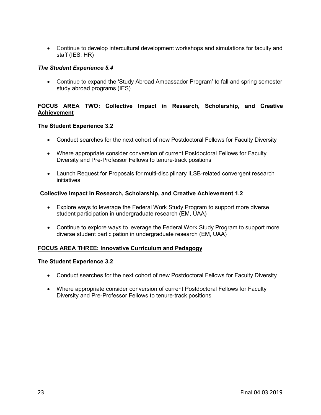• Continue to develop intercultural development workshops and simulations for faculty and staff (IES; HR)

#### *The Student Experience 5.4*

• Continue to expand the 'Study Abroad Ambassador Program' to fall and spring semester study abroad programs (IES)

#### **FOCUS AREA TWO: Collective Impact in Research, Scholarship, and Creative Achievement**

#### **The Student Experience 3.2**

- Conduct searches for the next cohort of new Postdoctoral Fellows for Faculty Diversity
- Where appropriate consider conversion of current Postdoctoral Fellows for Faculty Diversity and Pre-Professor Fellows to tenure-track positions
- Launch Request for Proposals for multi-disciplinary ILSB-related convergent research initiatives

#### **Collective Impact in Research, Scholarship, and Creative Achievement 1.2**

- Explore ways to leverage the Federal Work Study Program to support more diverse student participation in undergraduate research (EM, UAA)
- Continue to explore ways to leverage the Federal Work Study Program to support more diverse student participation in undergraduate research (EM, UAA)

#### **FOCUS AREA THREE: Innovative Curriculum and Pedagogy**

#### **The Student Experience 3.2**

- Conduct searches for the next cohort of new Postdoctoral Fellows for Faculty Diversity
- Where appropriate consider conversion of current Postdoctoral Fellows for Faculty Diversity and Pre-Professor Fellows to tenure-track positions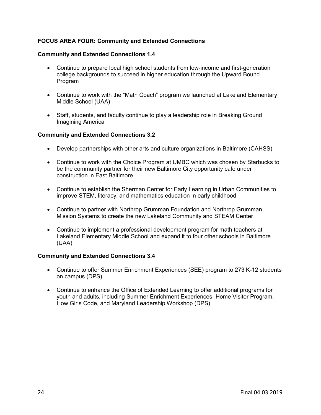### **FOCUS AREA FOUR: Community and Extended Connections**

#### **Community and Extended Connections 1.4**

- Continue to prepare local high school students from low-income and first-generation college backgrounds to succeed in higher education through the Upward Bound **Program**
- Continue to work with the "Math Coach" program we launched at Lakeland Elementary Middle School (UAA)
- Staff, students, and faculty continue to play a leadership role in Breaking Ground Imagining America

#### **Community and Extended Connections 3.2**

- Develop partnerships with other arts and culture organizations in Baltimore (CAHSS)
- Continue to work with the Choice Program at UMBC which was chosen by Starbucks to be the community partner for their new Baltimore City opportunity cafe under construction in East Baltimore
- Continue to establish the Sherman Center for Early Learning in Urban Communities to improve STEM, literacy, and mathematics education in early childhood
- Continue to partner with Northrop Grumman Foundation and Northrop Grumman Mission Systems to create the new Lakeland Community and STEAM Center
- Continue to implement a professional development program for math teachers at Lakeland Elementary Middle School and expand it to four other schools in Baltimore (UAA)

#### **Community and Extended Connections 3.4**

- Continue to offer Summer Enrichment Experiences (SEE) program to 273 K-12 students on campus (DPS)
- Continue to enhance the Office of Extended Learning to offer additional programs for youth and adults, including Summer Enrichment Experiences, Home Visitor Program, How Girls Code, and Maryland Leadership Workshop (DPS)